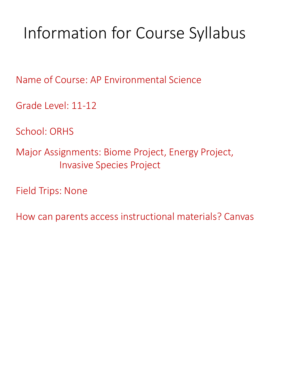# Information for Course Syllabus

Name of Course: AP Environmental Science

Grade Level: 11-12

School: ORHS

Major Assignments: Biome Project, Energy Project, Invasive Species Project

Field Trips: None

How can parents access instructional materials? Canvas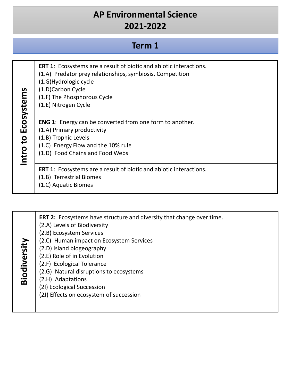| Term 1     |                                                                                                                                                                                                                                              |
|------------|----------------------------------------------------------------------------------------------------------------------------------------------------------------------------------------------------------------------------------------------|
| Ecosystems | <b>ERT 1:</b> Ecosystems are a result of biotic and abiotic interactions.<br>(1.A) Predator prey relationships, symbiosis, Competition<br>(1.G) Hydrologic cycle<br>(1.D)Carbon Cycle<br>(1.F) The Phosphorous Cycle<br>(1.E) Nitrogen Cycle |
| Intro to   | <b>ENG 1:</b> Energy can be converted from one form to another.<br>(1.A) Primary productivity<br>(1.B) Trophic Levels<br>(1.C) Energy Flow and the 10% rule<br>(1.D) Food Chains and Food Webs                                               |
|            | <b>ERT 1:</b> Ecosystems are a result of biotic and abiotic interactions.<br>(1.B) Terrestrial Biomes<br>(1.C) Aquatic Biomes                                                                                                                |

| Biodiversity | <b>ERT 2:</b> Ecosystems have structure and diversity that change over time.<br>(2.A) Levels of Biodiversity<br>(2.B) Ecosystem Services<br>(2.C) Human impact on Ecosystem Services<br>(2.D) Island biogeography<br>(2.E) Role of in Evolution<br>(2.F) Ecological Tolerance<br>(2.G) Natural disruptions to ecosystems<br>(2.H) Adaptations<br>(21) Ecological Succession<br>(2J) Effects on ecosystem of succession |
|--------------|------------------------------------------------------------------------------------------------------------------------------------------------------------------------------------------------------------------------------------------------------------------------------------------------------------------------------------------------------------------------------------------------------------------------|
|--------------|------------------------------------------------------------------------------------------------------------------------------------------------------------------------------------------------------------------------------------------------------------------------------------------------------------------------------------------------------------------------------------------------------------------------|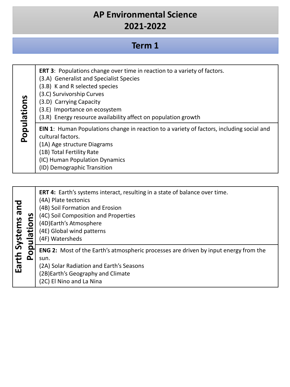#### **Term 1**

| Populations | ERT 3: Populations change over time in reaction to a variety of factors.<br>(3.A) Generalist and Specialist Species<br>(3.B) K and R selected species<br>(3.C) Survivorship Curves<br>(3.D) Carrying Capacity<br>(3.E) Importance on ecosystem<br>(3.R) Energy resource availability affect on population growth |
|-------------|------------------------------------------------------------------------------------------------------------------------------------------------------------------------------------------------------------------------------------------------------------------------------------------------------------------|
|             | <b>EIN 1:</b> Human Populations change in reaction to a variety of factors, including social and<br>cultural factors.<br>(1A) Age structure Diagrams<br>(1B) Total Fertility Rate<br>(IC) Human Population Dynamics<br>(ID) Demographic Transition                                                               |

| pue<br>Systems<br>О<br>Έ<br>ത | ERT 4: Earth's systems interact, resulting in a state of balance over time.<br>(4A) Plate tectonics<br>(4B) Soil Formation and Erosion<br>(4C) Soil Composition and Properties<br>(4D) Earth's Atmosphere<br>(4E) Global wind patterns<br>(4F) Watersheds |
|-------------------------------|-----------------------------------------------------------------------------------------------------------------------------------------------------------------------------------------------------------------------------------------------------------|
| Earth :<br>മ                  | <b>ENG 2:</b> Most of the Earth's atmospheric processes are driven by input energy from the<br>sun.<br>(2A) Solar Radiation and Earth's Seasons<br>(2B) Earth's Geography and Climate<br>(2C) El Nino and La Nina                                         |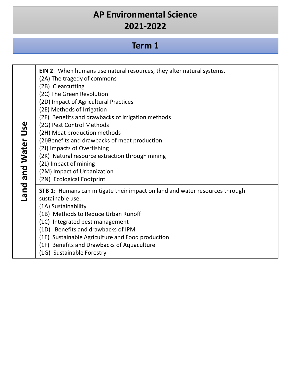#### **Term 1**

| Land and Water Use | EIN 2: When humans use natural resources, they alter natural systems.<br>(2A) The tragedy of commons<br>(2B) Clearcutting<br>(2C) The Green Revolution<br>(2D) Impact of Agricultural Practices<br>(2E) Methods of Irrigation<br>(2F) Benefits and drawbacks of irrigation methods<br>(2G) Pest Control Methods<br>(2H) Meat production methods<br>(2I) Benefits and drawbacks of meat production<br>(2J) Impacts of Overfishing<br>(2K) Natural resource extraction through mining<br>(2L) Impact of mining<br>(2M) Impact of Urbanization |
|--------------------|---------------------------------------------------------------------------------------------------------------------------------------------------------------------------------------------------------------------------------------------------------------------------------------------------------------------------------------------------------------------------------------------------------------------------------------------------------------------------------------------------------------------------------------------|
|                    | (2N) Ecological Footprint<br><b>STB 1:</b> Humans can mitigate their impact on land and water resources through<br>sustainable use.<br>(1A) Sustainability<br>(1B) Methods to Reduce Urban Runoff<br>(1C) Integrated pest management<br>(1D) Benefits and drawbacks of IPM<br>(1E) Sustainable Agriculture and Food production<br>(1F) Benefits and Drawbacks of Aquaculture<br>(1G) Sustainable Forestry                                                                                                                                   |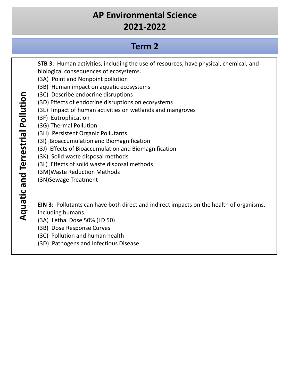# **Term 2**

| STB 3: Human activities, including the use of resources, have physical, chemical, and<br>biological consequences of ecosystems.<br>(3A) Point and Nonpoint pollution<br>(3B) Human impact on aquatic ecosystems<br>(3C) Describe endocrine disruptions<br>(3D) Effects of endocrine disruptions on ecosystems<br>(3E) Impact of human activities on wetlands and mangroves<br>(3F) Eutrophication<br>(3G) Thermal Pollution<br>(3H) Persistent Organic Pollutants<br>(3I) Bioaccumulation and Biomagnification<br>(3J) Effects of Bioaccumulation and Biomagnification<br>(3K) Solid waste disposal methods<br>(3L) Effects of solid waste disposal methods<br>(3M) Waste Reduction Methods<br>(3N) Sewage Treatment |
|----------------------------------------------------------------------------------------------------------------------------------------------------------------------------------------------------------------------------------------------------------------------------------------------------------------------------------------------------------------------------------------------------------------------------------------------------------------------------------------------------------------------------------------------------------------------------------------------------------------------------------------------------------------------------------------------------------------------|
| <b>EIN 3:</b> Pollutants can have both direct and indirect impacts on the health of organisms,<br>including humans.<br>(3A) Lethal Dose 50% (LD 50)<br>(3B) Dose Response Curves<br>(3C) Pollution and human health<br>(3D) Pathogens and Infectious Disease                                                                                                                                                                                                                                                                                                                                                                                                                                                         |
|                                                                                                                                                                                                                                                                                                                                                                                                                                                                                                                                                                                                                                                                                                                      |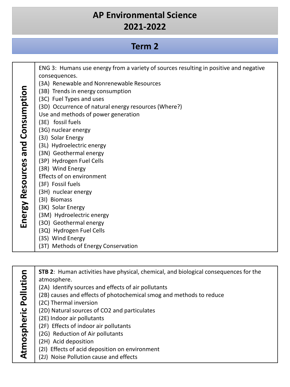#### **Term 2**

|                         | ENG 3: Humans use energy from a variety of sources resulting in positive and negative<br>consequences. |
|-------------------------|--------------------------------------------------------------------------------------------------------|
|                         | (3A) Renewable and Nonrenewable Resources                                                              |
| and Consumption         | (3B) Trends in energy consumption                                                                      |
|                         | (3C) Fuel Types and uses                                                                               |
|                         | (3D) Occurrence of natural energy resources (Where?)                                                   |
|                         | Use and methods of power generation                                                                    |
|                         | (3E) fossil fuels                                                                                      |
|                         | (3G) nuclear energy                                                                                    |
|                         | (3J) Solar Energy                                                                                      |
|                         | (3L) Hydroelectric energy                                                                              |
|                         | (3N) Geothermal energy                                                                                 |
|                         | (3P) Hydrogen Fuel Cells                                                                               |
|                         | (3R) Wind Energy                                                                                       |
|                         | Effects of on environment                                                                              |
|                         | (3F) Fossil fuels                                                                                      |
|                         | (3H) nuclear energy<br>(3I) Biomass                                                                    |
|                         | (3K) Solar Energy                                                                                      |
| <b>Energy Resources</b> | (3M) Hydroelectric energy                                                                              |
|                         | (3O) Geothermal energy                                                                                 |
|                         | (3Q) Hydrogen Fuel Cells                                                                               |
|                         | (3S) Wind Energy                                                                                       |
|                         | (3T) Methods of Energy Conservation                                                                    |

Atmospheric Pollution **STB 2**: Human activities have physical, chemical, and biological consequences for the **Atmospheric Pollution** atmosphere. (2A) Identify sources and effects of air pollutants (2B) causes and effects of photochemical smog and methods to reduce (2C) Thermal inversion (2D) Natural sources of CO2 and particulates (2E) Indoor air pollutants (2F) Effects of indoor air pollutants (2G) Reduction of Air pollutants (2H) Acid deposition (2I) Effects of acid deposition on environment (2J) Noise Pollution cause and effects